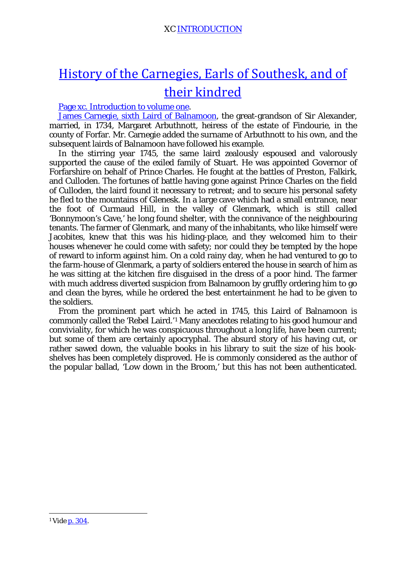# [History of the Carnegies, Earls of Southesk, and of](http://www.archive.org/details/historyofcarnegi02fras)  [their kindred](http://www.archive.org/details/historyofcarnegi02fras)

[Page xc. Introduction to volume one.](http://www.archive.org/stream/historyofcarnegi01fras#page/n105/mode/2up/search/stirring+year)

[James Carnegie, sixth Laird of Balnamoon,](http://books.google.com/books?id=wEFuRPsYHwwC&lpg=PA35&ots=rZCEWynUkV&dq=James%20Carnegie%2C%20sixth%20Laird%20of%20Balnamoon&pg=PA35#v=onepage&q&f=false) the great-grandson of Sir Alexander, married, in 1734, Margaret Arbuthnott, heiress of the estate of Findourie, in the county of Forfar. Mr. Carnegie added the surname of Arbuthnott to his own, and the subsequent lairds of Balnamoon have followed his example.

In the stirring year 1745, the same laird zealously espoused and valorously supported the cause of the exiled family of Stuart. He was appointed Governor of Forfarshire on behalf of Prince Charles. He fought at the battles of Preston, Falkirk, and Culloden. The fortunes of battle having gone against Prince Charles on the field of Culloden, the laird found it necessary to retreat; and to secure his personal safety he fled to the mountains of Glenesk. In a large cave which had a small entrance, near the foot of Curmaud Hill, in the valley of Glenmark, which is still called 'Bonnymoon's Cave,' he long found shelter, with the connivance of the neighbouring tenants. The farmer of Glenmark, and many of the inhabitants, who like himself were Jacobites, knew that this was his hiding-place, and they welcomed him to their houses whenever he could come with safety; nor could they be tempted by the hope of reward to inform against him. On a cold rainy day, when he had ventured to go to the farm-house of Glenmark, a party of soldiers entered the house in search of him as he was sitting at the kitchen fire disguised in the dress of a poor hind. The farmer with much address diverted suspicion from Balnamoon by gruffly ordering him to go and clean the byres, while he ordered the best entertainment he had to be given to the soldiers.

From the prominent part which he acted in 1745, this Laird of Balnamoon is commonly called the 'Rebel Laird.'[1](#page-0-0) Many anecdotes relating to his good humour and conviviality, for which he was conspicuous throughout a long life, have been current; but some of them are certainly apocryphal. The absurd story of his having cut, or rather sawed down, the valuable books in his library to suit the size of his bookshelves has been completely disproved. He is commonly considered as the author of the popular ballad, 'Low down in the Broom,' but this has not been authenticated.

<span id="page-0-0"></span> <sup>1</sup> *Vide* [p. 304.](http://www.archive.org/stream/historyofcarnegi02fras#page/304/mode/1up)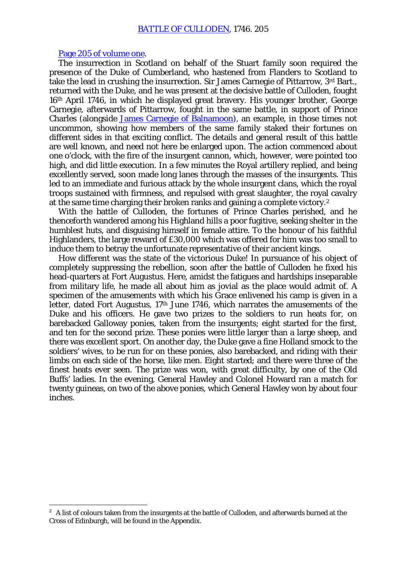#### [Page 205 of volume one.](http://www.archive.org/stream/historyofcarnegi01fras#page/204/mode/2up)

-

The insurrection in Scotland on behalf of the Stuart family soon required the presence of the Duke of Cumberland, who hastened from Flanders to Scotland to take the lead in crushing the insurrection. Sir James Carnegie of Pittarrow, 3rd Bart., returned with the Duke, and he was present at the decisive battle of Culloden, fought 16th April 1746, in which he displayed great bravery. His younger brother, George Carnegie, afterwards of Pittarrow, fought in the same battle, in support of Prince Charles (alongside [James Carnegie of Balnamoon\)](http://books.google.com/books?id=wEFuRPsYHwwC&lpg=PA35&ots=rZCEWynUkV&dq=James%20Carnegie%2C%20sixth%20Laird%20of%20Balnamoon&pg=PA35#v=onepage&q&f=false), an example, in those times not uncommon, showing how members of the same family staked their fortunes on different sides in that exciting conflict. The details and general result of this battle are well known, and need not here be enlarged upon. The action commenced about one o'clock, with the fire of the insurgent cannon, which, however, were pointed too high, and did little execution. In a few minutes the Royal artillery replied, and being excellently served, soon made long lanes through the masses of the insurgents. This led to an immediate and furious attack by the whole insurgent clans, which the royal troops sustained with firmness, and repulsed with great slaughter, the royal cavalry at the same time charging their broken ranks and gaining a complete victory.[2](#page-1-0)

With the battle of Culloden, the fortunes of Prince Charles perished, and he thenceforth wandered among his Highland hills a poor fugitive, seeking shelter in the humblest huts, and disguising himself in female attire. To the honour of his faithful Highlanders, the large reward of £30,000 which was offered for him was too small to induce them to betray the unfortunate representative of their ancient kings.

How different was the state of the victorious Duke! In pursuance of his object of completely suppressing the rebellion, soon after the battle of Culloden he fixed his head-quarters at Fort Augustus. Here, amidst the fatigues and hardships inseparable from military life, he made all about him as jovial as the place would admit of. A specimen of the amusements with which his Grace enlivened his camp is given in a letter, dated Fort Augustus, 17<sup>th</sup> June 1746, which narrates the amusements of the Duke and his officers. He gave two prizes to the soldiers to run heats for, on barebacked Galloway ponies, taken from the insurgents; eight started for the first, and ten for the second prize. These ponies were little larger than a large sheep, and there was excellent sport. On another day, the Duke gave a fine Holland smock to the soldiers' wives, to be run for on these ponies, also barebacked, and riding with their limbs on each side of the horse, like men. Eight started; and there were three of the finest heats ever seen. The prize was won, with great difficulty, by one of the Old Buffs' ladies. In the evening, General Hawley and Colonel Howard ran a match for twenty guineas, on two of the above ponies, which General Hawley won by about four inches.

<span id="page-1-0"></span> $2\;\text{A}$  list of colours taken from the insurgents at the battle of Culloden, and afterwards burned at the Cross of Edinburgh, will be found in the Appendix.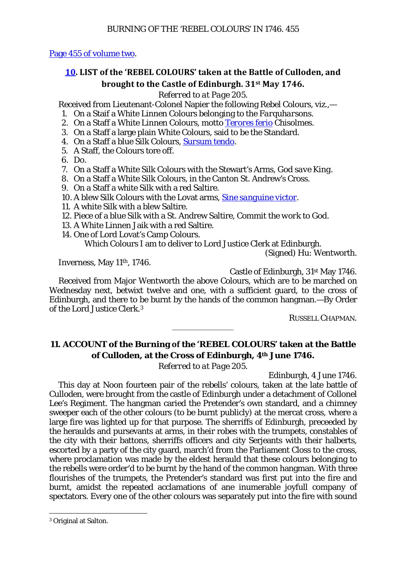[Page 455 of volume two.](http://www.archive.org/stream/historyofcarnegi02fras#page/455/mode/1up)

## **[10.](http://www.archive.org/stream/historyofcarnegi02fras#page/455/mode/1up) LIST of the 'REBEL COLOURS' taken at the Battle of Culloden, and brought to the Castle of Edinburgh. 31st May 1746.**

### *Referred to at Page 205.*

Received from Lieutenant-Colonel Napier the following Rebel Colours, viz.,—

- 1. On a Staif a White Linnen Colours belonging to the *Farquharsons*.
- 2. On a Staff a White Linnen Colours, motto *[Terores ferio](http://translate.google.com/?hl=en&tab=nT#la|en|Terores%20ferio)* Chisolmes.
- 3. On a Staff a large plain White Colours, said to be the Standard.
- 4. On a Staff a blue Silk Colours, *[Sursum tendo](http://translate.google.com/?hl=en&tab=nT#la|en|Sursum%20tendo)*.
- 5. A Staff, the Colours tore off.
- 6. Do.
- 7. On a Staff a White Silk Colours with the Stewart's Arms, *God save King*.
- 8. On a Staff a White Silk Colours, in the Canton St. Andrew's Cross.
- 9. On a Staff a white Silk with a red Saltire.
- 10. A blew Silk Colours with the Lovat arms, *[Sine sanguine victor](http://translate.google.com/?hl=en&tab=nT#la|en|Sine%20sanguine%20victor)*.
- 11. A white Silk with a blew Saltire.
- 12. Piece of a blue Silk with a St. Andrew Saltire, *Commit the work to God.*
- 13. A White Linnen Jaik with a red Saltire.
- 14. One of Lord Lovat's Camp Colours.

Which Colours I am to deliver to Lord Justice Clerk at Edinburgh.

(Signed) Hu: Wentworth.

Inverness, May 11th, 1746.

Castle of Edinburgh, 31st May 1746.

Received from Major Wentworth the above Colours, which are to be marched on Wednesday next, betwixt twelve and one, with a sufficient guard, to the cross of Edinburgh, and there to be burnt by the hands of the common hangman.—By Order of the Lord Justice Clerk.[3](#page-2-0)

RUSSELL CHAPMAN.

## **11. ACCOUNT of the Burning of the 'REBEL COLOURS' taken at the Battle of Culloden, at the Cross of Edinburgh, 4th June 1746.**

*Referred to at Page 205.*

Edinburgh, 4 June 1746.

This day at Noon fourteen pair of the rebells' colours, taken at the late battle of Culloden, were brought from the castle of Edinburgh under a detachment of Collonel Lee's Regiment. The hangman caried the Pretender's own standard, and a chimney sweeper each of the other colours (to be burnt publicly) at the mercat cross, where a large fire was lighted up for that purpose. The sherriffs of Edinburgh, preceeded by the heraulds and pursevants at arms, in their robes with the trumpets, constables of the city with their battons, sherriffs officers and city Serjeants with their halberts, escorted by a party of the city guard, march'd from the Parliament Closs to the cross, where proclamation was made by the eldest herauld that these colours belonging to the rebells were order'd to be burnt by the hand of the common hangman. With three flourishes of the trumpets, the Pretender's standard was first put into the fire and burnt, amidst the repeated acclamations of ane inumerable joyfull company of spectators. Every one of the other colours was separately put into the fire with sound

<span id="page-2-0"></span> <sup>3</sup> Original at Salton.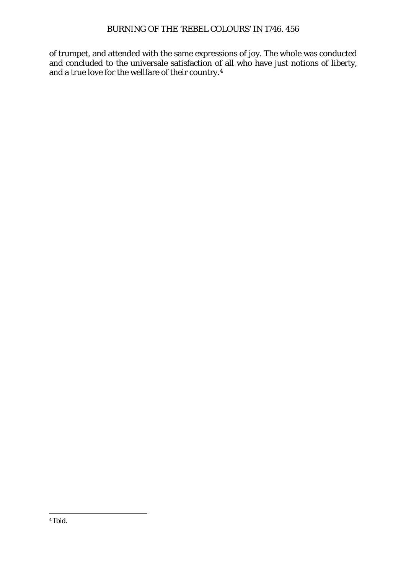<span id="page-3-0"></span>of trumpet, and attended with the same expressions of joy. The whole was conducted and concluded to the universale satisfaction of all who have just notions of liberty, and a true love for the wellfare of their country.[4](#page-3-0)